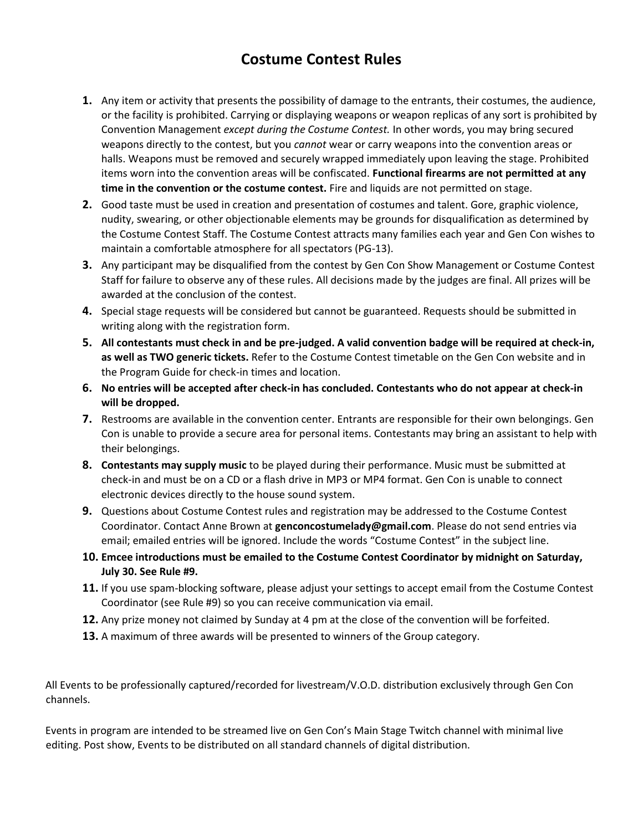## **Costume Contest Rules**

- **1.** Any item or activity that presents the possibility of damage to the entrants, their costumes, the audience, or the facility is prohibited. Carrying or displaying weapons or weapon replicas of any sort is prohibited by Convention Management *except during the Costume Contest.* In other words, you may bring secured weapons directly to the contest, but you *cannot* wear or carry weapons into the convention areas or halls. Weapons must be removed and securely wrapped immediately upon leaving the stage. Prohibited items worn into the convention areas will be confiscated. **Functional firearms are not permitted at any time in the convention or the costume contest.** Fire and liquids are not permitted on stage.
- **2.** Good taste must be used in creation and presentation of costumes and talent. Gore, graphic violence, nudity, swearing, or other objectionable elements may be grounds for disqualification as determined by the Costume Contest Staff. The Costume Contest attracts many families each year and Gen Con wishes to maintain a comfortable atmosphere for all spectators (PG-13).
- **3.** Any participant may be disqualified from the contest by Gen Con Show Management or Costume Contest Staff for failure to observe any of these rules. All decisions made by the judges are final. All prizes will be awarded at the conclusion of the contest.
- **4.** Special stage requests will be considered but cannot be guaranteed. Requests should be submitted in writing along with the registration form.
- **5. All contestants must check in and be pre-judged. A valid convention badge will be required at check-in, as well as TWO generic tickets.** Refer to the Costume Contest timetable on the Gen Con website and in the Program Guide for check-in times and location.
- **6. No entries will be accepted after check-in has concluded. Contestants who do not appear at check-in will be dropped.**
- **7.** Restrooms are available in the convention center. Entrants are responsible for their own belongings. Gen Con is unable to provide a secure area for personal items. Contestants may bring an assistant to help with their belongings.
- **8. Contestants may supply music** to be played during their performance. Music must be submitted at check-in and must be on a CD or a flash drive in MP3 or MP4 format. Gen Con is unable to connect electronic devices directly to the house sound system.
- **9.** Questions about Costume Contest rules and registration may be addressed to the Costume Contest Coordinator. Contact Anne Brown at **genconcostumelady@gmail.com**. Please do not send entries via email; emailed entries will be ignored. Include the words "Costume Contest" in the subject line.
- **10. Emcee introductions must be emailed to the Costume Contest Coordinator by midnight on Saturday, July 30. See Rule #9.**
- **11.** If you use spam-blocking software, please adjust your settings to accept email from the Costume Contest Coordinator (see Rule #9) so you can receive communication via email.
- **12.** Any prize money not claimed by Sunday at 4 pm at the close of the convention will be forfeited.
- **13.** A maximum of three awards will be presented to winners of the Group category.

All Events to be professionally captured/recorded for livestream/V.O.D. distribution exclusively through Gen Con channels.

Events in program are intended to be streamed live on Gen Con's Main Stage Twitch channel with minimal live editing. Post show, Events to be distributed on all standard channels of digital distribution.